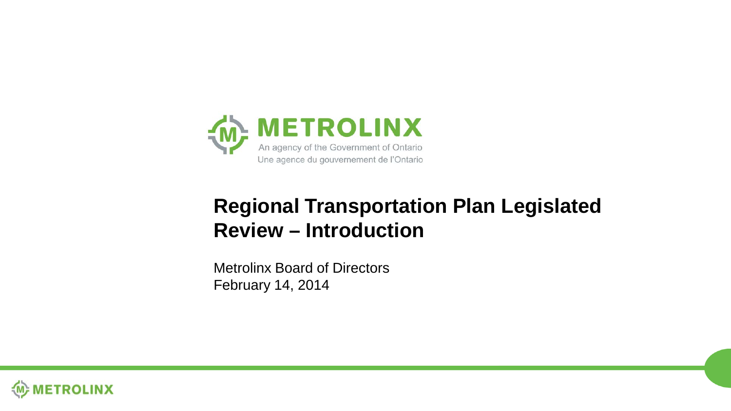

#### **Regional Transportation Plan Legislated Review – Introduction**

Metrolinx Board of Directors February 14, 2014

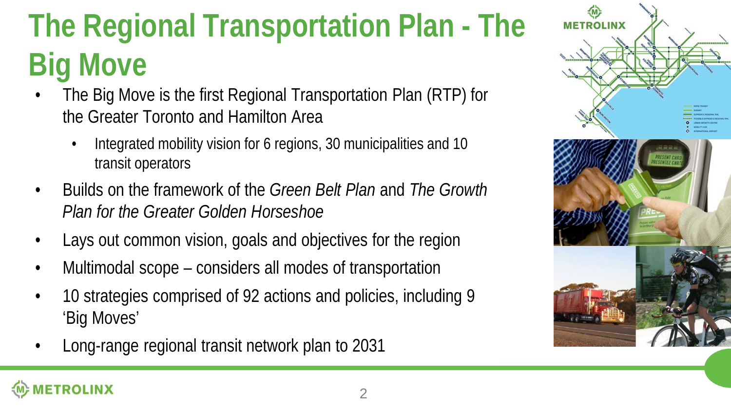# **The Regional Transportation Plan - The Big Move**

- The Big Move is the first Regional Transportation Plan (RTP) for the Greater Toronto and Hamilton Area
	- Integrated mobility vision for 6 regions, 30 municipalities and 10 transit operators
- Builds on the framework of the *Green Belt Plan* and *The Growth Plan for the Greater Golden Horseshoe*
- Lays out common vision, goals and objectives for the region
- Multimodal scope considers all modes of transportation
- 10 strategies comprised of 92 actions and policies, including 9 'Big Moves'
- Long-range regional transit network plan to 2031

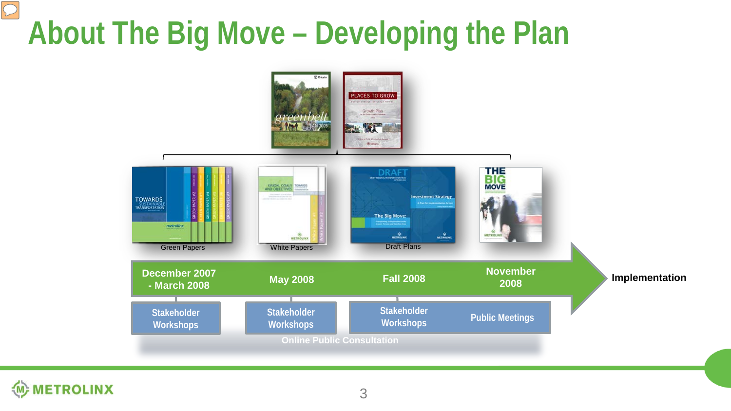# **About The Big Move – Developing the Plan**





 $\boxed{\bigcirc}$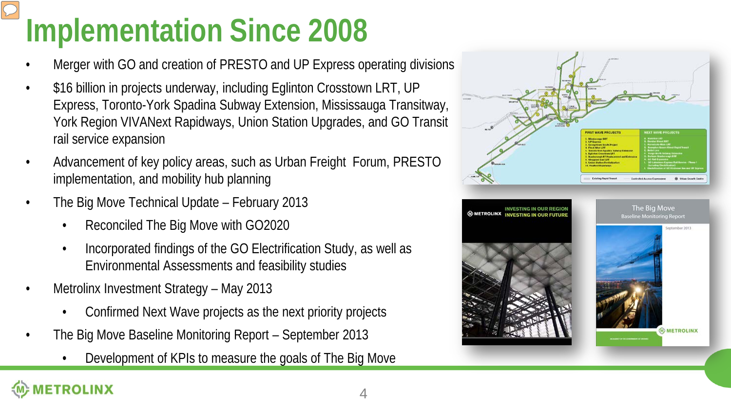# **Implementation Since 2008**

- Merger with GO and creation of PRESTO and UP Express operating divisions
- \$16 billion in projects underway, including Eglinton Crosstown LRT, UP Express, Toronto-York Spadina Subway Extension, Mississauga Transitway, York Region VIVANext Rapidways, Union Station Upgrades, and GO Transit rail service expansion
- Advancement of key policy areas, such as Urban Freight Forum, PRESTO implementation, and mobility hub planning
- The Big Move Technical Update February 2013
	- Reconciled The Big Move with GO2020
	- Incorporated findings of the GO Electrification Study, as well as Environmental Assessments and feasibility studies
- Metrolinx Investment Strategy May 2013

**OLINX** 

- Confirmed Next Wave projects as the next priority projects
- The Big Move Baseline Monitoring Report September 2013
	- Development of KPIs to measure the goals of The Big Move

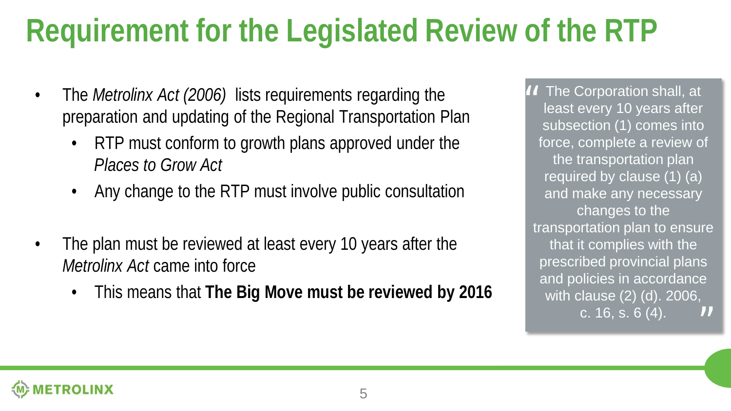#### **Requirement for the Legislated Review of the RTP**

- The *Metrolinx Act (2006)* lists requirements regarding the preparation and updating of the Regional Transportation Plan
	- RTP must conform to growth plans approved under the *Places to Grow Act*
	- Any change to the RTP must involve public consultation
- The plan must be reviewed at least every 10 years after the *Metrolinx Act* came into force
	- This means that **The Big Move must be reviewed by 2016**

*II* The Corporation shall, at<br>least every 10 years after least every 10 years after subsection (1) comes into force, complete a review of the transportation plan required by clause (1) (a) and make any necessary changes to the transportation plan to ensure that it complies with the prescribed provincial plans and policies in accordance with clause (2) (d). 2006, c. 16, s. 6 (4). "

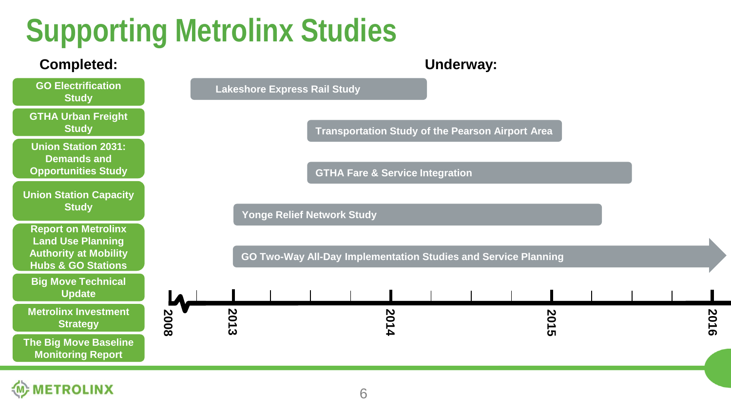#### **Supporting Metrolinx Studies**

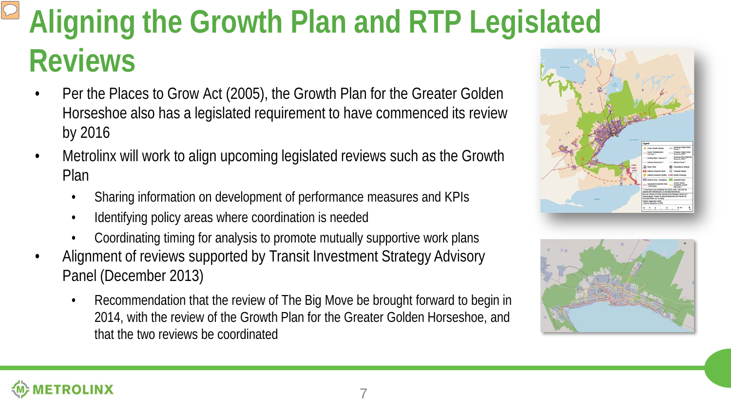## **Aligning the Growth Plan and RTP Legislated Reviews**

- Per the Places to Grow Act (2005), the Growth Plan for the Greater Golden Horseshoe also has a legislated requirement to have commenced its review by 2016
- Metrolinx will work to align upcoming legislated reviews such as the Growth Plan
	- Sharing information on development of performance measures and KPIs
	- Identifying policy areas where coordination is needed
	- Coordinating timing for analysis to promote mutually supportive work plans
- Alignment of reviews supported by Transit Investment Strategy Advisory Panel (December 2013)
	- Recommendation that the review of The Big Move be brought forward to begin in 2014, with the review of the Growth Plan for the Greater Golden Horseshoe, and that the two reviews be coordinated





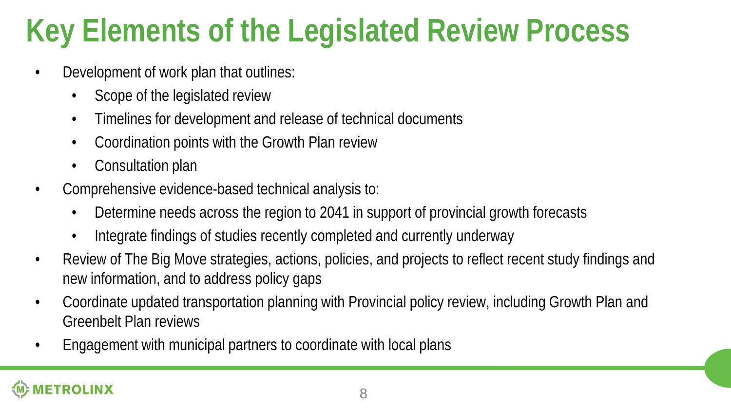## **Key Elements of the Legislated Review Process**

- Development of work plan that outlines:
	- Scope of the legislated review
	- Timelines for development and release of technical documents
	- Coordination points with the Growth Plan review
	- Consultation plan
- Comprehensive evidence-based technical analysis to:
	- Determine needs across the region to 2041 in support of provincial growth forecasts
	- Integrate findings of studies recently completed and currently underway
- Review of The Big Move strategies, actions, policies, and projects to reflect recent study findings and new information, and to address policy gaps
- Coordinate updated transportation planning with Provincial policy review, including Growth Plan and Greenbelt Plan reviews
- Engagement with municipal partners to coordinate with local plans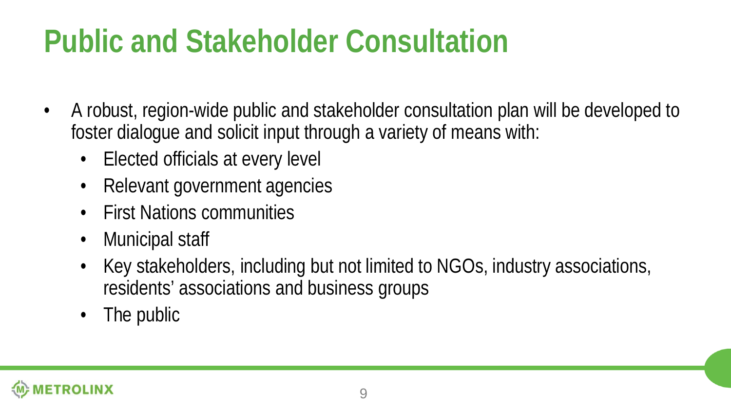#### **Public and Stakeholder Consultation**

- A robust, region-wide public and stakeholder consultation plan will be developed to foster dialogue and solicit input through a variety of means with:
	- Elected officials at every level
	- Relevant government agencies
	- First Nations communities
	- Municipal staff
	- Key stakeholders, including but not limited to NGOs, industry associations, residents' associations and business groups
	- The public

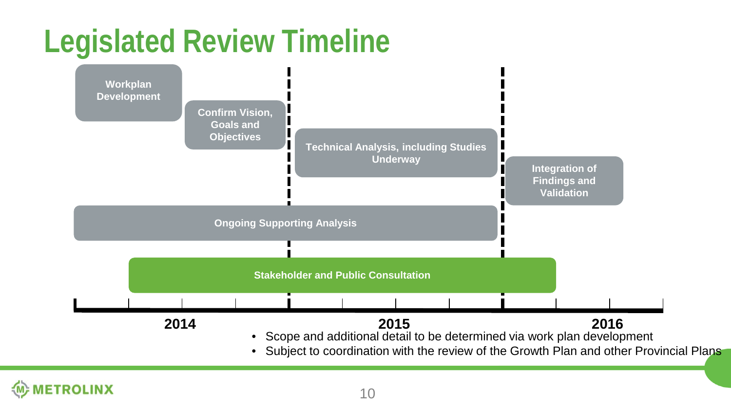#### **Legislated Review Timeline**